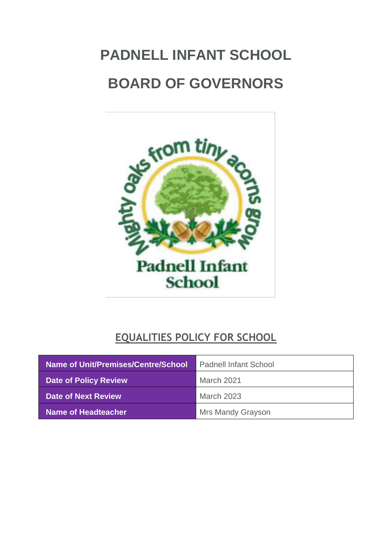# **PADNELL INFANT SCHOOL BOARD OF GOVERNORS**



# **EQUALITIES POLICY FOR SCHOOL**

| Name of Unit/Premises/Centre/School | <b>Padnell Infant School</b> |
|-------------------------------------|------------------------------|
| <b>Date of Policy Review</b>        | March 2021                   |
| Date of Next Review                 | <b>March 2023</b>            |
| Name of Headteacher                 | <b>Mrs Mandy Grayson</b>     |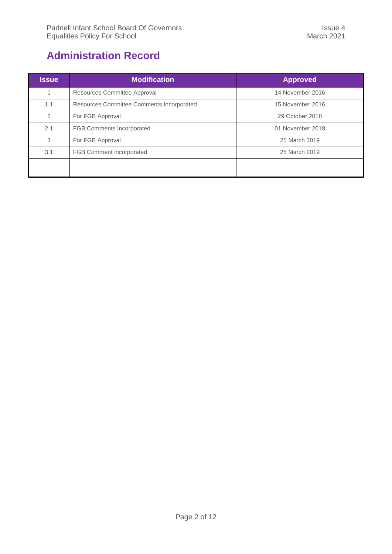## <span id="page-1-0"></span>**Administration Record**

| <b>Issue</b>   | <b>Modification</b>                                           | <b>Approved</b>  |
|----------------|---------------------------------------------------------------|------------------|
|                | Resources Committee Approval                                  | 14 November 2016 |
| 1.1            | Resources Committee Comments Incorporated<br>15 November 2016 |                  |
| $\overline{2}$ | For FGB Approval                                              | 29 October 2018  |
| 2.1            | <b>FGB Comments Incorporated</b>                              | 01 November 2018 |
| 3              | For FGB Approval                                              | 25 March 2019    |
| 3.1            | FGB Comment incorporated                                      | 25 March 2019    |
|                |                                                               |                  |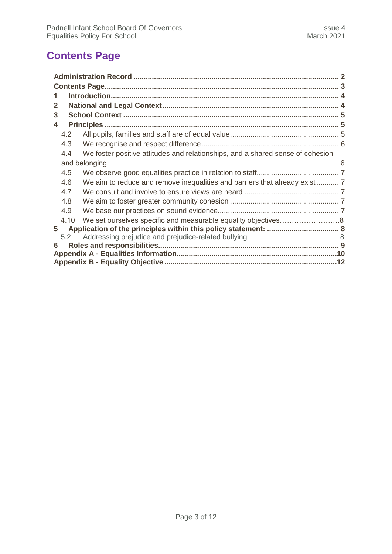# <span id="page-2-0"></span>**Contents Page**

| 1                                                                                     |  |  |
|---------------------------------------------------------------------------------------|--|--|
| 2                                                                                     |  |  |
| 3                                                                                     |  |  |
| 4                                                                                     |  |  |
| 4.2                                                                                   |  |  |
| 4.3                                                                                   |  |  |
| We foster positive attitudes and relationships, and a shared sense of cohesion<br>4.4 |  |  |
|                                                                                       |  |  |
| 4.5                                                                                   |  |  |
| We aim to reduce and remove inequalities and barriers that already exist 7<br>4.6     |  |  |
| 4.7                                                                                   |  |  |
| 4.8                                                                                   |  |  |
| 4.9                                                                                   |  |  |
| We set ourselves specific and measurable equality objectives8<br>4.10                 |  |  |
| 5                                                                                     |  |  |
| 5.2                                                                                   |  |  |
| 6                                                                                     |  |  |
|                                                                                       |  |  |
|                                                                                       |  |  |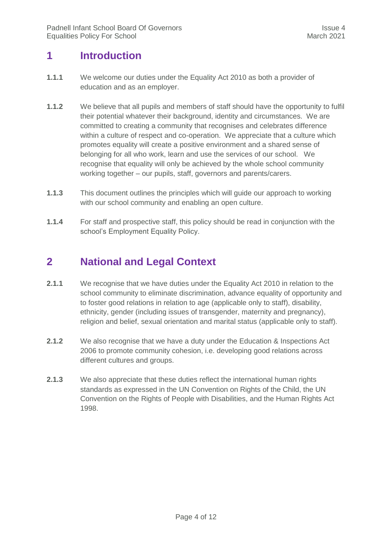## <span id="page-3-0"></span>**1 Introduction**

- **1.1.1** We welcome our duties under the Equality Act 2010 as both a provider of education and as an employer.
- **1.1.2** We believe that all pupils and members of staff should have the opportunity to fulfil their potential whatever their background, identity and circumstances. We are committed to creating a community that recognises and celebrates difference within a culture of respect and co-operation. We appreciate that a culture which promotes equality will create a positive environment and a shared sense of belonging for all who work, learn and use the services of our school. We recognise that equality will only be achieved by the whole school community working together – our pupils, staff, governors and parents/carers.
- **1.1.3** This document outlines the principles which will guide our approach to working with our school community and enabling an open culture.
- **1.1.4** For staff and prospective staff, this policy should be read in conjunction with the school's Employment Equality Policy.

## <span id="page-3-1"></span>**2 National and Legal Context**

- **2.1.1** We recognise that we have duties under the Equality Act 2010 in relation to the school community to eliminate discrimination, advance equality of opportunity and to foster good relations in relation to age (applicable only to staff), disability, ethnicity, gender (including issues of transgender, maternity and pregnancy), religion and belief, sexual orientation and marital status (applicable only to staff).
- **2.1.2** We also recognise that we have a duty under the Education & Inspections Act 2006 to promote community cohesion, i.e. developing good relations across different cultures and groups.
- **2.1.3** We also appreciate that these duties reflect the international human rights standards as expressed in the UN Convention on Rights of the Child, the UN Convention on the Rights of People with Disabilities, and the Human Rights Act 1998.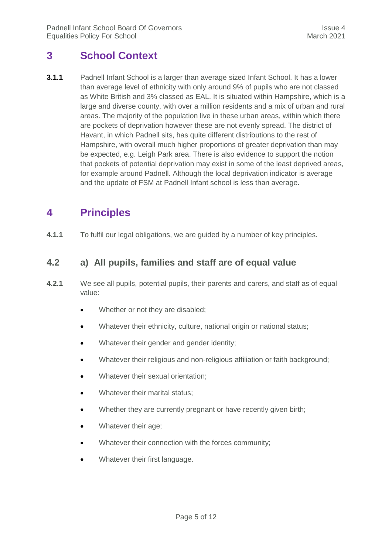## <span id="page-4-0"></span>**3 School Context**

**3.1.1** Padnell Infant School is a larger than average sized Infant School. It has a lower than average level of ethnicity with only around 9% of pupils who are not classed as White British and 3% classed as EAL. It is situated within Hampshire, which is a large and diverse county, with over a million residents and a mix of urban and rural areas. The majority of the population live in these urban areas, within which there are pockets of deprivation however these are not evenly spread. The district of Havant, in which Padnell sits, has quite different distributions to the rest of Hampshire, with overall much higher proportions of greater deprivation than may be expected, e.g. Leigh Park area. There is also evidence to support the notion that pockets of potential deprivation may exist in some of the least deprived areas, for example around Padnell. Although the local deprivation indicator is average and the update of FSM at Padnell Infant school is less than average.

## <span id="page-4-1"></span>**4 Principles**

<span id="page-4-2"></span>**4.1.1** To fulfil our legal obligations, we are guided by a number of key principles.

#### **4.2 a) All pupils, families and staff are of equal value**

- **4.2.1** We see all pupils, potential pupils, their parents and carers, and staff as of equal value:
	- Whether or not they are disabled;
	- Whatever their ethnicity, culture, national origin or national status;
	- Whatever their gender and gender identity;
	- Whatever their religious and non-religious affiliation or faith background;
	- Whatever their sexual orientation;
	- Whatever their marital status;
	- Whether they are currently pregnant or have recently given birth;
	- Whatever their age;
	- Whatever their connection with the forces community;
	- Whatever their first language.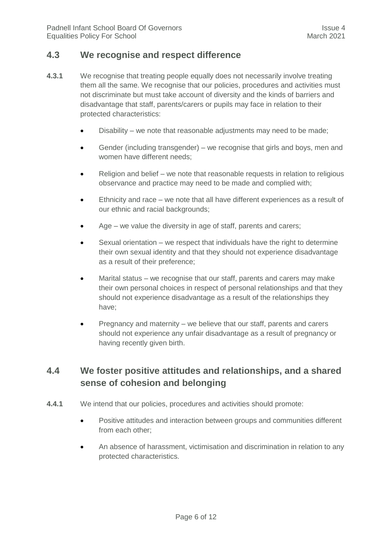#### <span id="page-5-0"></span>**4.3 We recognise and respect difference**

- **4.3.1** We recognise that treating people equally does not necessarily involve treating them all the same. We recognise that our policies, procedures and activities must not discriminate but must take account of diversity and the kinds of barriers and disadvantage that staff, parents/carers or pupils may face in relation to their protected characteristics:
	- Disability we note that reasonable adjustments may need to be made;
	- Gender (including transgender) we recognise that girls and boys, men and women have different needs;
	- Religion and belief we note that reasonable requests in relation to religious observance and practice may need to be made and complied with;
	- Ethnicity and race we note that all have different experiences as a result of our ethnic and racial backgrounds;
	- Age we value the diversity in age of staff, parents and carers;
	- Sexual orientation we respect that individuals have the right to determine their own sexual identity and that they should not experience disadvantage as a result of their preference;
	- Marital status we recognise that our staff, parents and carers may make their own personal choices in respect of personal relationships and that they should not experience disadvantage as a result of the relationships they have;
	- Pregnancy and maternity we believe that our staff, parents and carers should not experience any unfair disadvantage as a result of pregnancy or having recently given birth.

#### **4.4 We foster positive attitudes and relationships, and a shared sense of cohesion and belonging**

- **4.4.1** We intend that our policies, procedures and activities should promote:
	- Positive attitudes and interaction between groups and communities different from each other;
	- An absence of harassment, victimisation and discrimination in relation to any protected characteristics.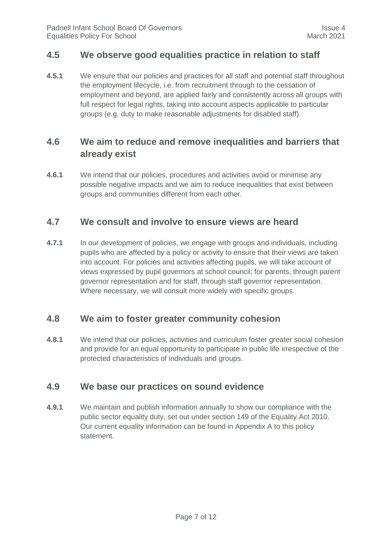#### <span id="page-6-0"></span>**4.5 We observe good equalities practice in relation to staff**

**4.5.1** We ensure that our policies and practices for all staff and potential staff throughout the employment lifecycle, i.e. from recruitment through to the cessation of employment and beyond, are applied fairly and consistently across all groups with full respect for legal rights, taking into account aspects applicable to particular groups (e.g. duty to make reasonable adjustments for disabled staff).

#### <span id="page-6-1"></span>**4.6 We aim to reduce and remove inequalities and barriers that already exist**

**4.6.1** We intend that our policies, procedures and activities avoid or minimise any possible negative impacts and we aim to reduce inequalities that exist between groups and communities different from each other.

#### <span id="page-6-2"></span>**4.7 We consult and involve to ensure views are heard**

**4.7.1** In our development of policies, we engage with groups and individuals, including pupils who are affected by a policy or activity to ensure that their views are taken into account. For policies and activities affecting pupils, we will take account of views expressed by pupil governors at school council; for parents, through parent governor representation and for staff, through staff governor representation. Where necessary, we will consult more widely with specific groups.

#### <span id="page-6-3"></span>**4.8 We aim to foster greater community cohesion**

**4.8.1** We intend that our policies, activities and curriculum foster greater social cohesion and provide for an equal opportunity to participate in public life irrespective of the protected characteristics of individuals and groups.

#### <span id="page-6-4"></span>**4.9 We base our practices on sound evidence**

**4.9.1** We maintain and publish information annually to show our compliance with the public sector equality duty, set out under section 149 of the Equality Act 2010. Our current equality information can be found in Appendix A to this policy statement.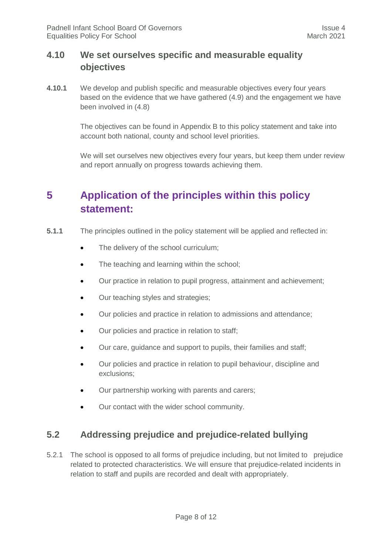#### **4.10 We set ourselves specific and measurable equality objectives**

**4.10.1** We develop and publish specific and measurable objectives every four years based on the evidence that we have gathered (4.9) and the engagement we have been involved in (4.8)

> The objectives can be found in Appendix B to this policy statement and take into account both national, county and school level priorities.

We will set ourselves new objectives every four years, but keep them under review and report annually on progress towards achieving them.

# <span id="page-7-0"></span>**5 Application of the principles within this policy statement:**

- **5.1.1** The principles outlined in the policy statement will be applied and reflected in:
	- The delivery of the school curriculum:
	- The teaching and learning within the school;
	- Our practice in relation to pupil progress, attainment and achievement;
	- Our teaching styles and strategies;
	- Our policies and practice in relation to admissions and attendance;
	- Our policies and practice in relation to staff;
	- Our care, guidance and support to pupils, their families and staff;
	- Our policies and practice in relation to pupil behaviour, discipline and exclusions;
	- Our partnership working with parents and carers;
	- Our contact with the wider school community.

#### **5.2 Addressing prejudice and prejudice-related bullying**

5.2.1 The school is opposed to all forms of prejudice including, but not limited to prejudice related to protected characteristics. We will ensure that prejudice-related incidents in relation to staff and pupils are recorded and dealt with appropriately.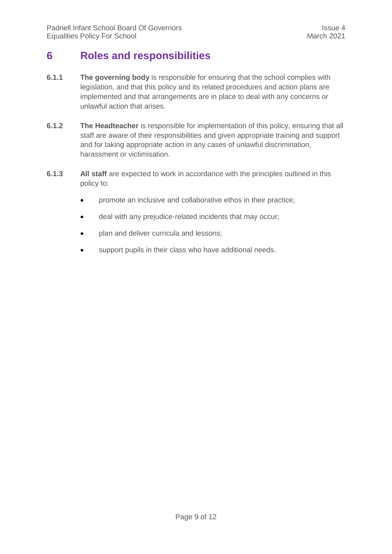## <span id="page-8-0"></span>**6 Roles and responsibilities**

- **6.1.1 The governing body** is responsible for ensuring that the school complies with legislation, and that this policy and its related procedures and action plans are implemented and that arrangements are in place to deal with any concerns or unlawful action that arises.
- **6.1.2 The Headteacher** is responsible for implementation of this policy, ensuring that all staff are aware of their responsibilities and given appropriate training and support and for taking appropriate action in any cases of unlawful discrimination, harassment or victimisation.
- <span id="page-8-1"></span>**6.1.3 All staff** are expected to work in accordance with the principles outlined in this policy to:
	- promote an inclusive and collaborative ethos in their practice;
	- deal with any prejudice-related incidents that may occur;
	- plan and deliver curricula and lessons;
	- support pupils in their class who have additional needs.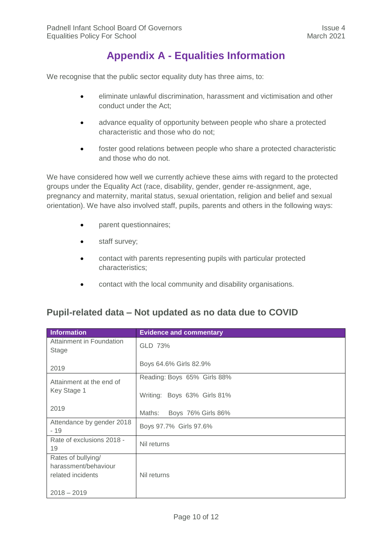## **Appendix A - Equalities Information**

We recognise that the public sector equality duty has three aims, to:

- eliminate unlawful discrimination, harassment and victimisation and other conduct under the Act;
- advance equality of opportunity between people who share a protected characteristic and those who do not;
- foster good relations between people who share a protected characteristic and those who do not.

We have considered how well we currently achieve these aims with regard to the protected groups under the Equality Act (race, disability, gender, gender re-assignment, age, pregnancy and maternity, marital status, sexual orientation, religion and belief and sexual orientation). We have also involved staff, pupils, parents and others in the following ways:

- parent questionnaires;
- staff survey;
- contact with parents representing pupils with particular protected characteristics;
- contact with the local community and disability organisations.

#### **Pupil-related data – Not updated as no data due to COVID**

| Information                              | <b>Evidence and commentary</b> |
|------------------------------------------|--------------------------------|
| Attainment in Foundation<br><b>Stage</b> | GLD 73%                        |
| 2019                                     | Boys 64.6% Girls 82.9%         |
| Attainment at the end of                 | Reading: Boys 65% Girls 88%    |
| Key Stage 1                              | Writing: Boys 63% Girls 81%    |
| 2019                                     | Maths:<br>Boys 76% Girls 86%   |
| Attendance by gender 2018<br>$-19$       | Boys 97.7% Girls 97.6%         |
| Rate of exclusions 2018 -<br>19          | Nil returns                    |
| Rates of bullying/                       |                                |
| harassment/behaviour                     |                                |
| related incidents                        | Nil returns                    |
| $2018 - 2019$                            |                                |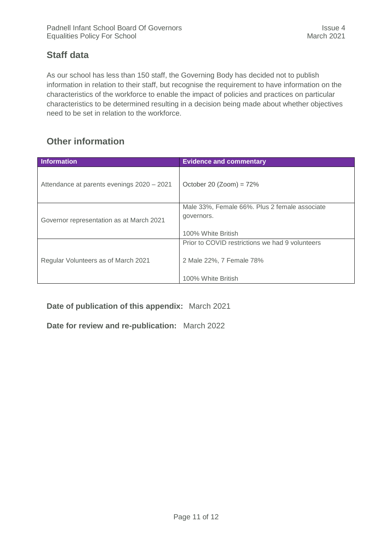## **Staff data**

As our school has less than 150 staff, the Governing Body has decided not to publish information in relation to their staff, but recognise the requirement to have information on the characteristics of the workforce to enable the impact of policies and practices on particular characteristics to be determined resulting in a decision being made about whether objectives need to be set in relation to the workforce.

## **Other information**

| Information                                | <b>Evidence and commentary</b>                  |
|--------------------------------------------|-------------------------------------------------|
| Attendance at parents evenings 2020 - 2021 | October 20 (Zoom) = $72\%$                      |
|                                            | Male 33%, Female 66%. Plus 2 female associate   |
| Governor representation as at March 2021   | governors.                                      |
|                                            |                                                 |
|                                            | 100% White British                              |
|                                            | Prior to COVID restrictions we had 9 volunteers |
| Regular Volunteers as of March 2021        | 2 Male 22%, 7 Female 78%                        |
|                                            | 100% White British                              |

**Date of publication of this appendix:** March 2021

**Date for review and re-publication:** March 2022